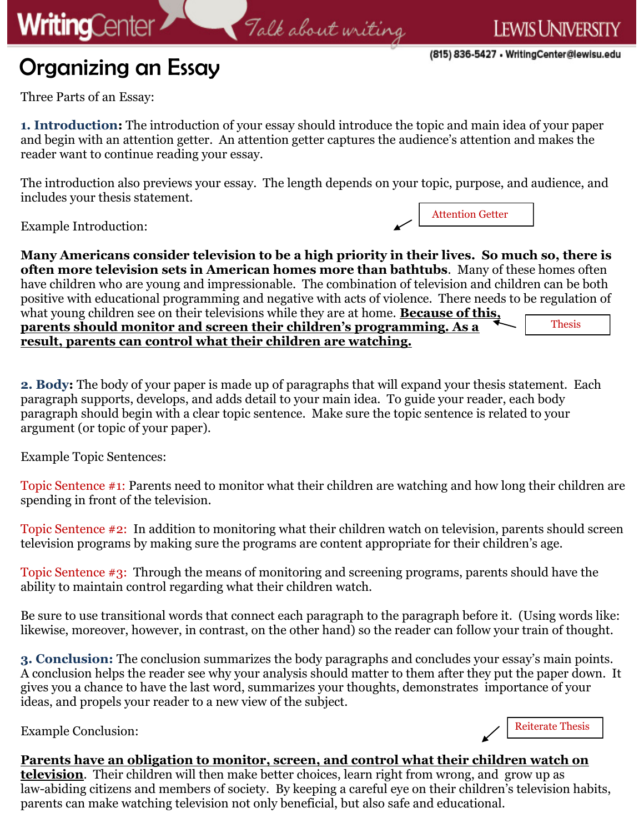## Organizing an Essay

Attention Getter

Three Parts of an Essay:

**WritingCenter** 

**1. Introduction:** The introduction of your essay should introduce the topic and main idea of your paper and begin with an attention getter. An attention getter captures the audience's attention and makes the reader want to continue reading your essay.

Falk about writing

The introduction also previews your essay. The length depends on your topic, purpose, and audience, and includes your thesis statement.

Example Introduction:

**Many Americans consider television to be a high priority in their lives. So much so, there is often more television sets in American homes more than bathtubs**. Many of these homes often have children who are young and impressionable. The combination of television and children can be both positive with educational programming and negative with acts of violence. There needs to be regulation of what young children see on their televisions while they are at home. **Because of this, parents should monitor and screen their children's programming. As a result, parents can control what their children are watching.**  Thesis

**2. Body:** The body of your paper is made up of paragraphs that will expand your thesis statement. Each paragraph supports, develops, and adds detail to your main idea. To guide your reader, each body paragraph should begin with a clear topic sentence. Make sure the topic sentence is related to your argument (or topic of your paper).

Example Topic Sentences:

Topic Sentence #1: Parents need to monitor what their children are watching and how long their children are spending in front of the television.

Topic Sentence #2: In addition to monitoring what their children watch on television, parents should screen television programs by making sure the programs are content appropriate for their children's age.

Topic Sentence #3: Through the means of monitoring and screening programs, parents should have the ability to maintain control regarding what their children watch.

Be sure to use transitional words that connect each paragraph to the paragraph before it. (Using words like: likewise, moreover, however, in contrast, on the other hand) so the reader can follow your train of thought.

**3. Conclusion:** The conclusion summarizes the body paragraphs and concludes your essay's main points. A conclusion helps the reader see why your analysis should matter to them after they put the paper down. It gives you a chance to have the last word, summarizes your thoughts, demonstrates importance of your ideas, and propels your reader to a new view of the subject.

Example Conclusion:

Reiterate Thesis

## **Parents have an obligation to monitor, screen, and control what their children watch on**

**television**. Their children will then make better choices, learn right from wrong, and grow up as law-abiding citizens and members of society. By keeping a careful eye on their children's television habits, parents can make watching television not only beneficial, but also safe and educational.